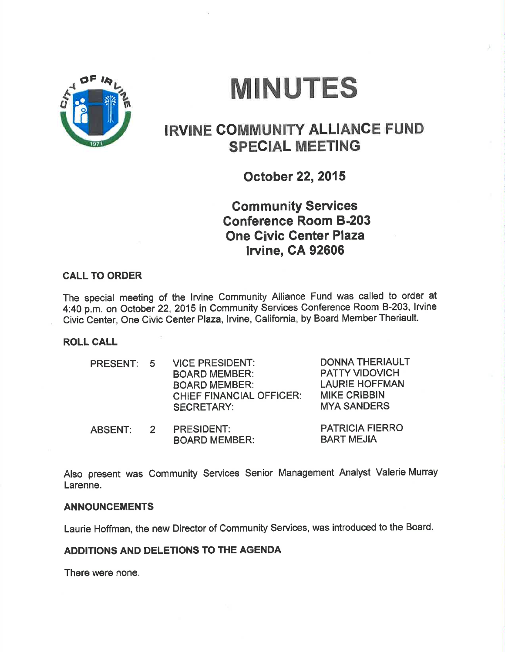

# **MINUTES**

# IRVINE COMMUNITY ALLIANCE FUND SPECIAL MEETING

October 22,2015

**Community Services** Conference Room 8-203 One Givic Center Plaza lrvine, CA 92606

#### CALL TO ORDER

The special meeting of the lrvine Community Alliance Fund was called to order at 4:40 p.m. on October 22, 2015 in Community Services Conference Room B-203, Irvine Civic Center, One Civic Center Plaza, lrvine, Galifornia, by Board Member Theriault.

ROLL CALL

| PRESENT: 5 | <b>VICE PRESIDENT:</b><br><b>BOARD MEMBER:</b><br><b>BOARD MEMBER:</b><br><b>CHIEF FINANCIAL OFFICER:</b><br><b>SECRETARY:</b> | <b>DONNA THERIAULT</b><br><b>PATTY VIDOVICH</b><br><b>LAURIE HOFFMAN</b><br><b>MIKE CRIBBIN</b><br><b>MYA SANDERS</b> |
|------------|--------------------------------------------------------------------------------------------------------------------------------|-----------------------------------------------------------------------------------------------------------------------|
|            | BBCCURENT.                                                                                                                     | DATDIAIA EIEDDA                                                                                                       |

PRESIDENT: BOARD MEMBER: PATRICIA FIERRO **BART MEJIA** ABSENT: <sup>2</sup>

Also present was Gommunity Services Senior Management Analyst Valerie Murray Larenne.

#### ANNOUNCEMENTS

Laurie Hoffman, the new Director of Community Services, was introduced to the Board.

### ADDITIONS AND DELETIONS TO THE AGENDA

There were none.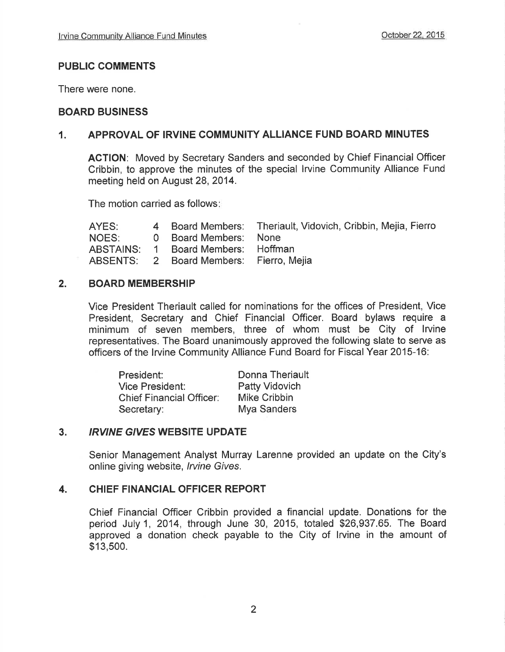# PUBLIC COMMENTS

There were none.

## BOARD BUSINESS

# 1. APPROVAL OF IRVINE COMMUNITY ALLIANCE FUND BOARD MINUTES

ACTION: Moved by Secretary Sanders and seconded by Chief Financial Officer Cribbin, to approve the minutes of the special lrvine Community Alliance Fund meeting held on August 28, 2014.

The motion carried as follows

| AYES: |                                         | 4 Board Members: Theriault, Vidovich, Cribbin, Mejia, Fierro |
|-------|-----------------------------------------|--------------------------------------------------------------|
| NOES: | 0 Board Members: None                   |                                                              |
|       | ABSTAINS: 1 Board Members: Hoffman      |                                                              |
|       | ABSENTS: 2 Board Members: Fierro, Mejia |                                                              |

#### 2. BOARD MEMBERSHIP

Vice President Theriault called for nominations for the offices of President, Vice President, Secretary and Chief Financial Officer. Board bylaws require a minimum of seven members, three of whom must be City of lrvine representatives. The Board unanimously approved the following slate to serve as officers of the Irvine Community Alliance Fund Board for Fiscal Year 2015-16:

| President:                      | Donna Theriault |
|---------------------------------|-----------------|
| <b>Vice President:</b>          | Patty Vidovich  |
| <b>Chief Financial Officer:</b> | Mike Cribbin    |
| Secretary:                      | Mya Sanders     |

# 3. IRVINE GIVES WEBSITE UPDATE

Senior Management Analyst Murray Larenne provided an update on the City's online giving website, Irvine Gives.

# 4. CHIEF FINANCIAL OFFICER REPORT

Chief Financial Officer Cribbin provided a financial update. Donations for the period July1, 2014, through June 30, 2015, totaled \$26,937.65. The Board approved a donation check payable to the City of lrvine in the amount of \$13,500.